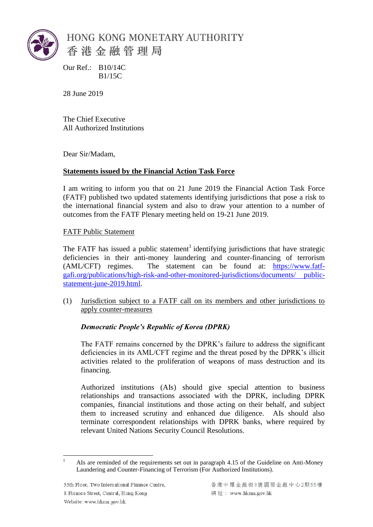

Our Ref.: B10/14C B1/15C

28 June 2019

The Chief Executive All Authorized Institutions

Dear Sir/Madam,

## **Statements issued by the Financial Action Task Force**

I am writing to inform you that on 21 June 2019 the Financial Action Task Force (FATF) published two updated statements identifying jurisdictions that pose a risk to the international financial system and also to draw your attention to a number of outcomes from the FATF Plenary meeting held on 19-21 June 2019.

FATF Public Statement

The FATF has issued a public statement<sup>1</sup> identifying jurisdictions that have strategic deficiencies in their anti-money laundering and counter-financing of terrorism (AML/CFT) regimes. The statement can be found at: [https://www.fatf](https://www.fatf-gafi.org/publications/high-risk-and-other-monitored-jurisdictions/documents/public-statement-june-2019.html)[gafi.org/publications/high-risk-and-other-monitored-jurisdictions/documents/ public](https://www.fatf-gafi.org/publications/high-risk-and-other-monitored-jurisdictions/documents/public-statement-june-2019.html)[statement-june-2019.html.](https://www.fatf-gafi.org/publications/high-risk-and-other-monitored-jurisdictions/documents/public-statement-june-2019.html)

(1) Jurisdiction subject to a FATF call on its members and other jurisdictions to apply counter-measures

## *Democratic People's Republic of Korea (DPRK)*

The FATF remains concerned by the DPRK's failure to address the significant deficiencies in its AML/CFT regime and the threat posed by the DPRK's illicit activities related to the proliferation of weapons of mass destruction and its financing.

Authorized institutions (AIs) should give special attention to business relationships and transactions associated with the DPRK, including DPRK companies, financial institutions and those acting on their behalf, and subject them to increased scrutiny and enhanced due diligence. AIs should also terminate correspondent relationships with DPRK banks, where required by relevant United Nations Security Council Resolutions.

 $\overline{a}$ <sup>1</sup> AIs are reminded of the requirements set out in paragraph 4.15 of the Guideline on Anti-Money Laundering and Counter-Financing of Terrorism (For Authorized Institutions).